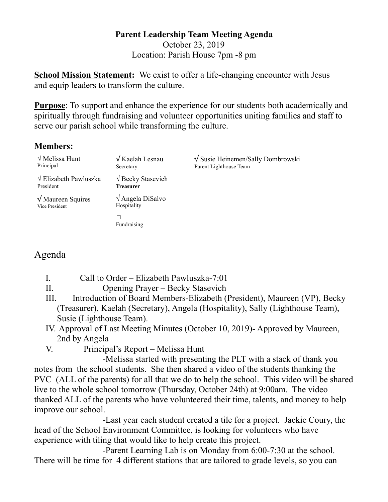## **Parent Leadership Team Meeting Agenda**  October 23, 2019 Location: Parish House 7pm -8 pm

**School Mission Statement:** We exist to offer a life-changing encounter with Jesus and equip leaders to transform the culture.

**Purpose**: To support and enhance the experience for our students both academically and spiritually through fundraising and volunteer opportunities uniting families and staff to serve our parish school while transforming the culture.

## **Members:**

| $\sqrt{\text{Melissa Hunt}}$<br>Principal          | $\sqrt{K$ aelah Lesnau<br>Secretary          | $\sqrt{\text{S} }$ Susie Heinemen/Sally Dombrowski<br>Parent Lighthouse Team |
|----------------------------------------------------|----------------------------------------------|------------------------------------------------------------------------------|
| $\sqrt{\text{Elizabeth} Pawluszka}$<br>President   | $\sqrt{\text{Becky}}$ Stasevich<br>Treasurer |                                                                              |
| $\sqrt{\text{Maureen} }$ Squires<br>Vice President | $\sqrt{\text{Angle}}$ DiSalvo<br>Hospitality |                                                                              |
|                                                    | Fundraising                                  |                                                                              |

## Agenda

- I. Call to Order Elizabeth Pawluszka-7:01
- II. Opening Prayer Becky Stasevich
- III. Introduction of Board Members-Elizabeth (President), Maureen (VP), Becky (Treasurer), Kaelah (Secretary), Angela (Hospitality), Sally (Lighthouse Team), Susie (Lighthouse Team).
- IV. Approval of Last Meeting Minutes (October 10, 2019)- Approved by Maureen, 2nd by Angela
- V. Principal's Report Melissa Hunt

 -Melissa started with presenting the PLT with a stack of thank you notes from the school students. She then shared a video of the students thanking the PVC (ALL of the parents) for all that we do to help the school. This video will be shared live to the whole school tomorrow (Thursday, October 24th) at 9:00am. The video thanked ALL of the parents who have volunteered their time, talents, and money to help improve our school.

 -Last year each student created a tile for a project. Jackie Coury, the head of the School Environment Committee, is looking for volunteers who have experience with tiling that would like to help create this project.

 -Parent Learning Lab is on Monday from 6:00-7:30 at the school. There will be time for 4 different stations that are tailored to grade levels, so you can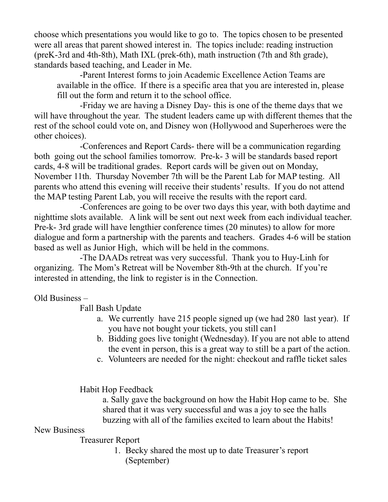choose which presentations you would like to go to. The topics chosen to be presented were all areas that parent showed interest in. The topics include: reading instruction (preK-3rd and 4th-8th), Math IXL (prek-6th), math instruction (7th and 8th grade), standards based teaching, and Leader in Me.

 -Parent Interest forms to join Academic Excellence Action Teams are available in the office. If there is a specific area that you are interested in, please fill out the form and return it to the school office.

 -Friday we are having a Disney Day- this is one of the theme days that we will have throughout the year. The student leaders came up with different themes that the rest of the school could vote on, and Disney won (Hollywood and Superheroes were the other choices).

 -Conferences and Report Cards- there will be a communication regarding both going out the school families tomorrow. Pre-k- 3 will be standards based report cards, 4-8 will be traditional grades. Report cards will be given out on Monday, November 11th. Thursday November 7th will be the Parent Lab for MAP testing. All parents who attend this evening will receive their students' results. If you do not attend the MAP testing Parent Lab, you will receive the results with the report card.

 -Conferences are going to be over two days this year, with both daytime and nighttime slots available. A link will be sent out next week from each individual teacher. Pre-k- 3rd grade will have lengthier conference times (20 minutes) to allow for more dialogue and form a partnership with the parents and teachers. Grades 4-6 will be station based as well as Junior High, which will be held in the commons.

 -The DAADs retreat was very successful. Thank you to Huy-Linh for organizing. The Mom's Retreat will be November 8th-9th at the church. If you're interested in attending, the link to register is in the Connection.

Old Business –

Fall Bash Update

- a. We currently have 215 people signed up (we had 280 last year). If you have not bought your tickets, you still can1
- b. Bidding goes live tonight (Wednesday). If you are not able to attend the event in person, this is a great way to still be a part of the action.
- c. Volunteers are needed for the night: checkout and raffle ticket sales

Habit Hop Feedback

 a. Sally gave the background on how the Habit Hop came to be. She shared that it was very successful and was a joy to see the halls buzzing with all of the families excited to learn about the Habits!

## New Business

Treasurer Report

1. Becky shared the most up to date Treasurer's report (September)